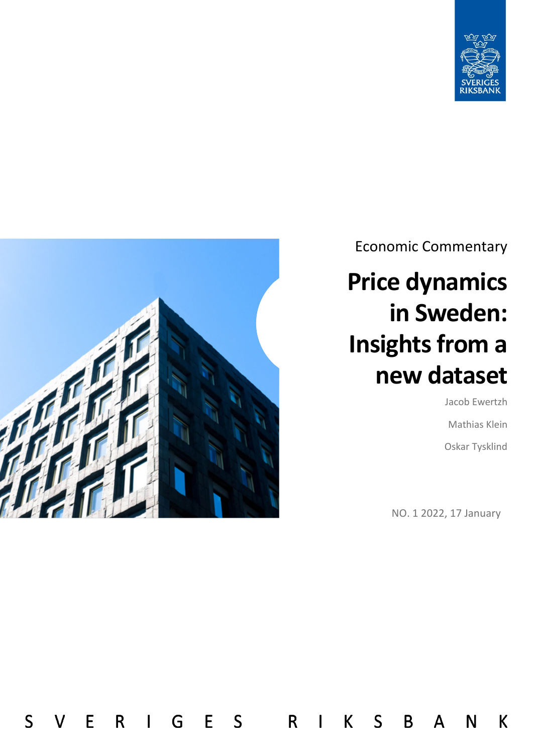



 $\mathsf{S}$ 

 $\overline{R}$ 

E

E

G

 $\mathbf{I}$ 

 $\mathsf{S}$ 

 $\mathsf{R}$ 

 $\sf K$ 

 $\mathbf{I}$ 

S

B

A

Economic Commentary

# **Price dynamics in Sweden: Insights from a new dataset**

Jacob Ewertzh Mathias Klein Oskar Tysklind

N

 $\mathsf K$ 

NO. 1 2022, 17 January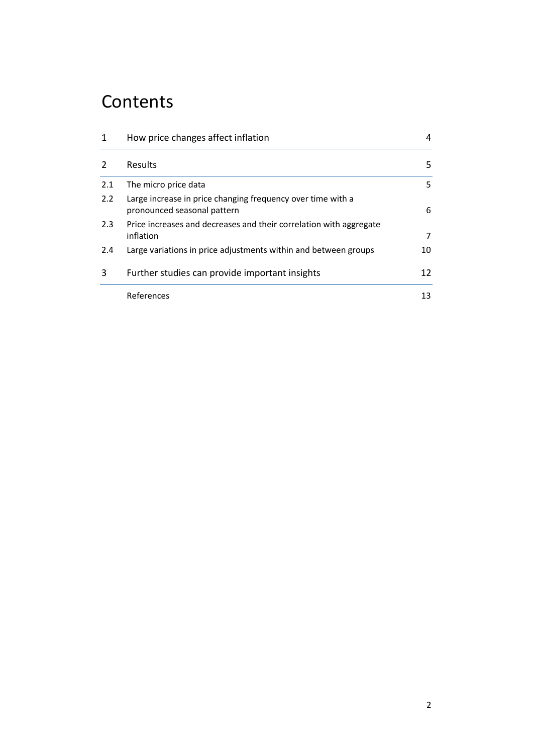# **Contents**

| $\mathbf{1}$   | How price changes affect inflation                                                         | 4  |
|----------------|--------------------------------------------------------------------------------------------|----|
| $\overline{2}$ | <b>Results</b>                                                                             | 5. |
| 2.1            | The micro price data                                                                       | 5. |
| 2.2            | Large increase in price changing frequency over time with a<br>pronounced seasonal pattern | 6  |
| 2.3            | Price increases and decreases and their correlation with aggregate<br>inflation            | 7  |
| 2.4            | Large variations in price adjustments within and between groups                            | 10 |
| 3              | Further studies can provide important insights                                             | 12 |
|                | References                                                                                 | 13 |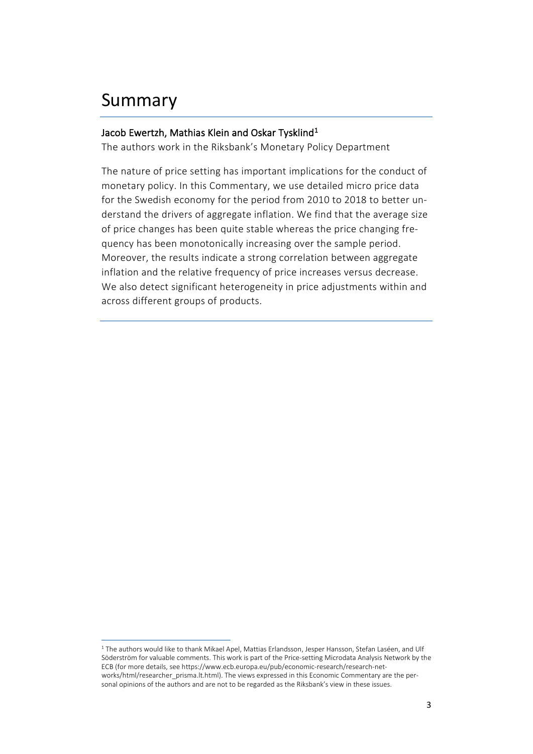## Summary

 $\overline{a}$ 

#### Jacob Ewertzh, Mathias Klein and Oskar Tysklind<sup>[1](#page-2-0)</sup>

The authors work in the Riksbank's Monetary Policy Department

The nature of price setting has important implications for the conduct of monetary policy. In this Commentary, we use detailed micro price data for the Swedish economy for the period from 2010 to 2018 to better understand the drivers of aggregate inflation. We find that the average size of price changes has been quite stable whereas the price changing frequency has been monotonically increasing over the sample period. Moreover, the results indicate a strong correlation between aggregate inflation and the relative frequency of price increases versus decrease. We also detect significant heterogeneity in price adjustments within and across different groups of products.

<span id="page-2-0"></span><sup>&</sup>lt;sup>1</sup> The authors would like to thank Mikael Apel, Mattias Erlandsson, Jesper Hansson, Stefan Laséen, and Ulf Söderström for valuable comments. This work is part of the Price-setting Microdata Analysis Network by the ECB (for more details, see https://www.ecb.europa.eu/pub/economic-research/research-networks/html/researcher\_prisma.lt.html). The views expressed in this Economic Commentary are the personal opinions of the authors and are not to be regarded as the Riksbank's view in these issues.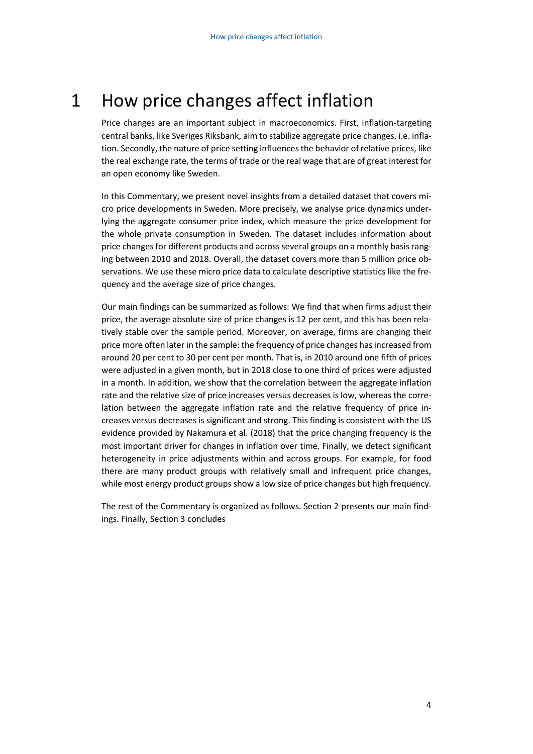# <span id="page-3-0"></span>1 How price changes affect inflation

Price changes are an important subject in macroeconomics. First, inflation-targeting central banks, like Sveriges Riksbank, aim to stabilize aggregate price changes, i.e. inflation. Secondly, the nature of price setting influences the behavior of relative prices, like the real exchange rate, the terms of trade or the real wage that are of great interest for an open economy like Sweden.

In this Commentary, we present novel insights from a detailed dataset that covers micro price developments in Sweden. More precisely, we analyse price dynamics underlying the aggregate consumer price index, which measure the price development for the whole private consumption in Sweden. The dataset includes information about price changes for different products and across several groups on a monthly basis ranging between 2010 and 2018. Overall, the dataset covers more than 5 million price observations. We use these micro price data to calculate descriptive statistics like the frequency and the average size of price changes.

Our main findings can be summarized as follows: We find that when firms adjust their price, the average absolute size of price changes is 12 per cent, and this has been relatively stable over the sample period. Moreover, on average, firms are changing their price more often later in the sample: the frequency of price changes has increased from around 20 per cent to 30 per cent per month. That is, in 2010 around one fifth of prices were adjusted in a given month, but in 2018 close to one third of prices were adjusted in a month. In addition, we show that the correlation between the aggregate inflation rate and the relative size of price increases versus decreases is low, whereas the correlation between the aggregate inflation rate and the relative frequency of price increases versus decreases is significant and strong. This finding is consistent with the US evidence provided by Nakamura et al. (2018) that the price changing frequency is the most important driver for changes in inflation over time. Finally, we detect significant heterogeneity in price adjustments within and across groups. For example, for food there are many product groups with relatively small and infrequent price changes, while most energy product groups show a low size of price changes but high frequency.

The rest of the Commentary is organized as follows. Section 2 presents our main findings. Finally, Section 3 concludes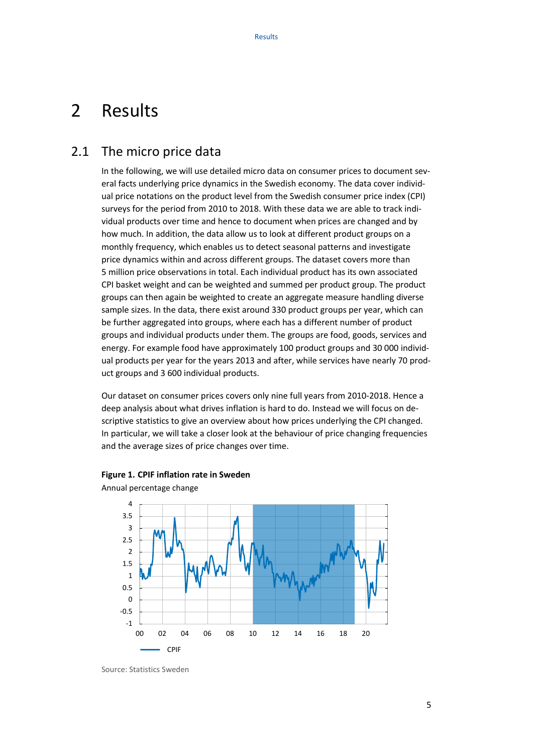### <span id="page-4-0"></span>2 Results

### <span id="page-4-1"></span>2.1 The micro price data

In the following, we will use detailed micro data on consumer prices to document several facts underlying price dynamics in the Swedish economy. The data cover individual price notations on the product level from the Swedish consumer price index (CPI) surveys for the period from 2010 to 2018. With these data we are able to track individual products over time and hence to document when prices are changed and by how much. In addition, the data allow us to look at different product groups on a monthly frequency, which enables us to detect seasonal patterns and investigate price dynamics within and across different groups. The dataset covers more than 5 million price observations in total. Each individual product has its own associated CPI basket weight and can be weighted and summed per product group. The product groups can then again be weighted to create an aggregate measure handling diverse sample sizes. In the data, there exist around 330 product groups per year, which can be further aggregated into groups, where each has a different number of product groups and individual products under them. The groups are food, goods, services and energy. For example food have approximately 100 product groups and 30 000 individual products per year for the years 2013 and after, while services have nearly 70 product groups and 3 600 individual products.

Our dataset on consumer prices covers only nine full years from 2010-2018. Hence a deep analysis about what drives inflation is hard to do. Instead we will focus on descriptive statistics to give an overview about how prices underlying the CPI changed. In particular, we will take a closer look at the behaviour of price changing frequencies and the average sizes of price changes over time.





Annual percentage change

Source: Statistics Sweden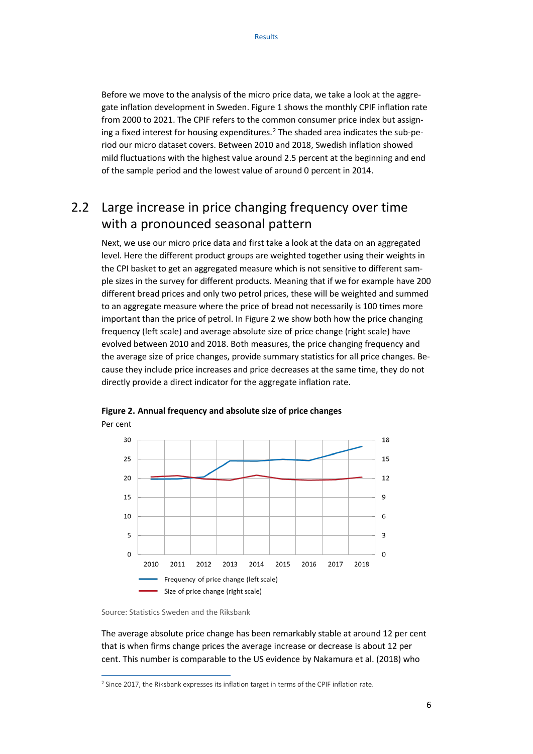Before we move to the analysis of the micro price data, we take a look at the aggregate inflation development in Sweden. Figure 1 shows the monthly CPIF inflation rate from 2000 to 2021. The CPIF refers to the common consumer price index but assign-ing a fixed interest for housing expenditures.<sup>[2](#page-5-1)</sup> The shaded area indicates the sub-period our micro dataset covers. Between 2010 and 2018, Swedish inflation showed mild fluctuations with the highest value around 2.5 percent at the beginning and end of the sample period and the lowest value of around 0 percent in 2014.

### <span id="page-5-0"></span>2.2 Large increase in price changing frequency over time with a pronounced seasonal pattern

Next, we use our micro price data and first take a look at the data on an aggregated level. Here the different product groups are weighted together using their weights in the CPI basket to get an aggregated measure which is not sensitive to different sample sizes in the survey for different products. Meaning that if we for example have 200 different bread prices and only two petrol prices, these will be weighted and summed to an aggregate measure where the price of bread not necessarily is 100 times more important than the price of petrol. In Figure 2 we show both how the price changing frequency (left scale) and average absolute size of price change (right scale) have evolved between 2010 and 2018. Both measures, the price changing frequency and the average size of price changes, provide summary statistics for all price changes. Because they include price increases and price decreases at the same time, they do not directly provide a direct indicator for the aggregate inflation rate.



**Figure 2. Annual frequency and absolute size of price changes** Per cent

 $\overline{a}$ 

The average absolute price change has been remarkably stable at around 12 per cent that is when firms change prices the average increase or decrease is about 12 per cent. This number is comparable to the US evidence by Nakamura et al. (2018) who

Source: Statistics Sweden and the Riksbank

<span id="page-5-1"></span><sup>&</sup>lt;sup>2</sup> Since 2017, the Riksbank expresses its inflation target in terms of the CPIF inflation rate.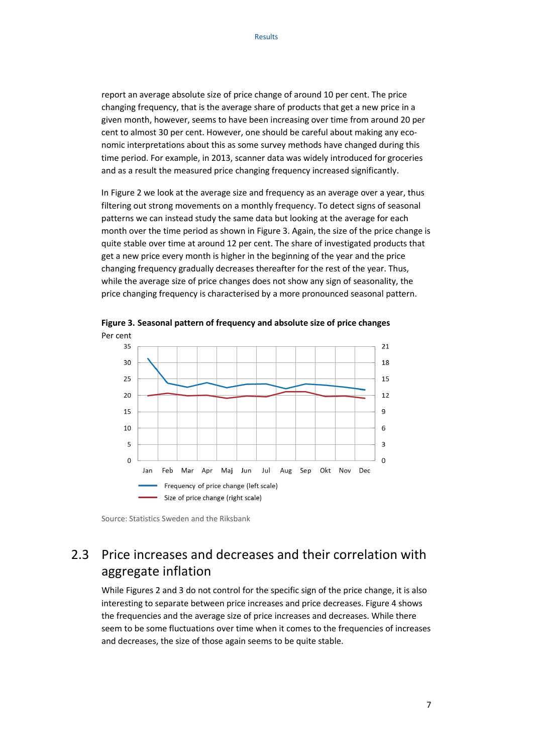report an average absolute size of price change of around 10 per cent. The price changing frequency, that is the average share of products that get a new price in a given month, however, seems to have been increasing over time from around 20 per cent to almost 30 per cent. However, one should be careful about making any economic interpretations about this as some survey methods have changed during this time period. For example, in 2013, scanner data was widely introduced for groceries and as a result the measured price changing frequency increased significantly.

In Figure 2 we look at the average size and frequency as an average over a year, thus filtering out strong movements on a monthly frequency. To detect signs of seasonal patterns we can instead study the same data but looking at the average for each month over the time period as shown in Figure 3. Again, the size of the price change is quite stable over time at around 12 per cent. The share of investigated products that get a new price every month is higher in the beginning of the year and the price changing frequency gradually decreases thereafter for the rest of the year. Thus, while the average size of price changes does not show any sign of seasonality, the price changing frequency is characterised by a more pronounced seasonal pattern.



**Figure 3. Seasonal pattern of frequency and absolute size of price changes**

### 2.3 Price increases and decreases and their correlation with aggregate inflation

While Figures 2 and 3 do not control for the specific sign of the price change, it is also interesting to separate between price increases and price decreases. Figure 4 shows the frequencies and the average size of price increases and decreases. While there seem to be some fluctuations over time when it comes to the frequencies of increases and decreases, the size of those again seems to be quite stable.

<span id="page-6-0"></span>Source: Statistics Sweden and the Riksbank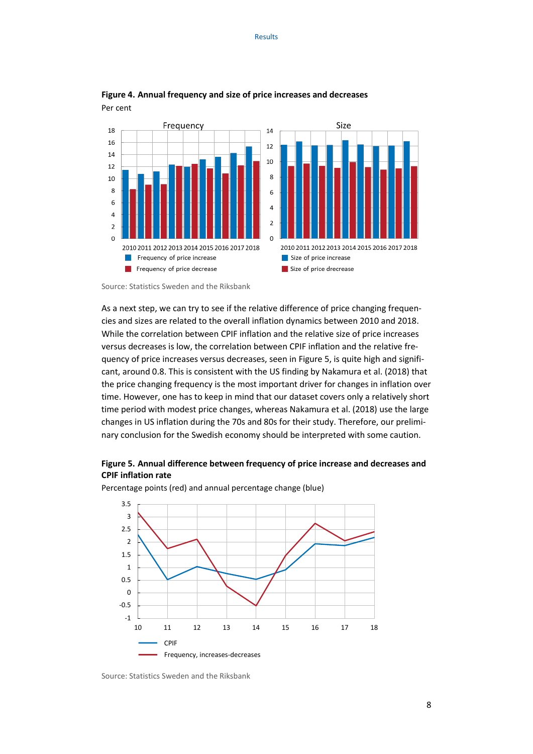



As a next step, we can try to see if the relative difference of price changing frequencies and sizes are related to the overall inflation dynamics between 2010 and 2018. While the correlation between CPIF inflation and the relative size of price increases versus decreases is low, the correlation between CPIF inflation and the relative frequency of price increases versus decreases, seen in Figure 5, is quite high and significant, around 0.8. This is consistent with the US finding by Nakamura et al. (2018) that the price changing frequency is the most important driver for changes in inflation over time. However, one has to keep in mind that our dataset covers only a relatively short time period with modest price changes, whereas Nakamura et al. (2018) use the large changes in US inflation during the 70s and 80s for their study. Therefore, our preliminary conclusion for the Swedish economy should be interpreted with some caution.

#### **Figure 5. Annual difference between frequency of price increase and decreases and CPIF inflation rate**



Percentage points (red) and annual percentage change (blue)

Source: Statistics Sweden and the Riksbank

Source: Statistics Sweden and the Riksbank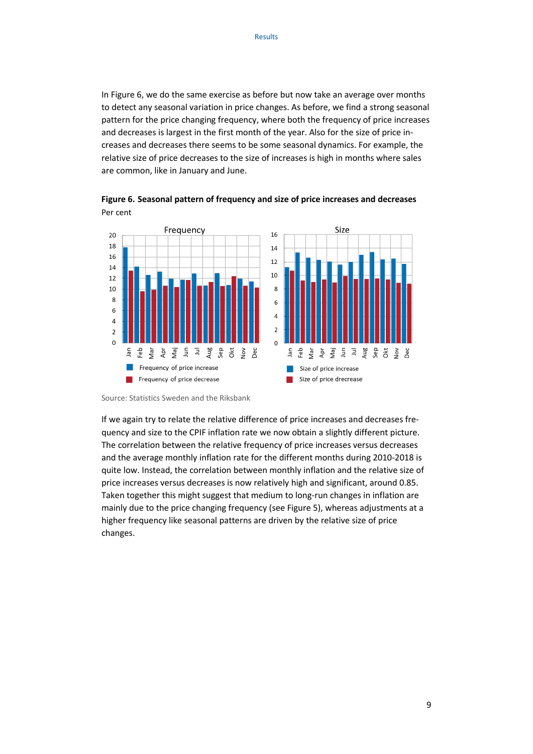In Figure 6, we do the same exercise as before but now take an average over months to detect any seasonal variation in price changes. As before, we find a strong seasonal pattern for the price changing frequency, where both the frequency of price increases and decreases is largest in the first month of the year. Also for the size of price increases and decreases there seems to be some seasonal dynamics. For example, the relative size of price decreases to the size of increases is high in months where sales are common, like in January and June.



**Figure 6. Seasonal pattern of frequency and size of price increases and decreases** Per cent

Source: Statistics Sweden and the Riksbank

If we again try to relate the relative difference of price increases and decreases frequency and size to the CPIF inflation rate we now obtain a slightly different picture. The correlation between the relative frequency of price increases versus decreases and the average monthly inflation rate for the different months during 2010-2018 is quite low. Instead, the correlation between monthly inflation and the relative size of price increases versus decreases is now relatively high and significant, around 0.85. Taken together this might suggest that medium to long-run changes in inflation are mainly due to the price changing frequency (see Figure 5), whereas adjustments at a higher frequency like seasonal patterns are driven by the relative size of price changes.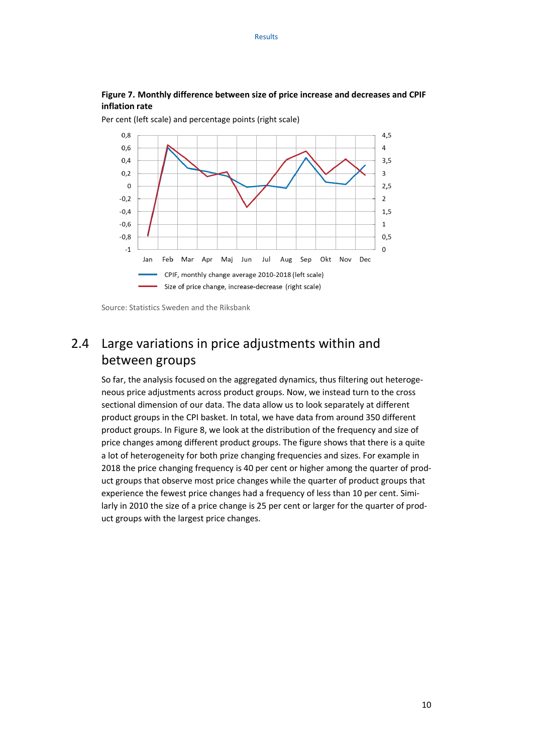#### **Figure 7. Monthly difference between size of price increase and decreases and CPIF inflation rate**



Per cent (left scale) and percentage points (right scale)

### 2.4 Large variations in price adjustments within and between groups

So far, the analysis focused on the aggregated dynamics, thus filtering out heterogeneous price adjustments across product groups. Now, we instead turn to the cross sectional dimension of our data. The data allow us to look separately at different product groups in the CPI basket. In total, we have data from around 350 different product groups. In Figure 8, we look at the distribution of the frequency and size of price changes among different product groups. The figure shows that there is a quite a lot of heterogeneity for both prize changing frequencies and sizes. For example in 2018 the price changing frequency is 40 per cent or higher among the quarter of product groups that observe most price changes while the quarter of product groups that experience the fewest price changes had a frequency of less than 10 per cent. Similarly in 2010 the size of a price change is 25 per cent or larger for the quarter of product groups with the largest price changes.

<span id="page-9-0"></span>Source: Statistics Sweden and the Riksbank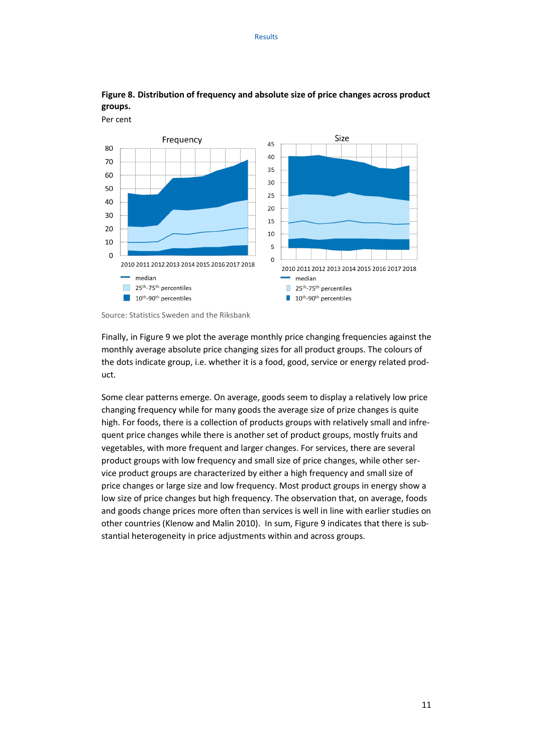

#### **Figure 8. Distribution of frequency and absolute size of price changes across product groups.**

Source: Statistics Sweden and the Riksbank

Per cent

Finally, in Figure 9 we plot the average monthly price changing frequencies against the monthly average absolute price changing sizes for all product groups. The colours of the dots indicate group, i.e. whether it is a food, good, service or energy related product.

Some clear patterns emerge. On average, goods seem to display a relatively low price changing frequency while for many goods the average size of prize changes is quite high. For foods, there is a collection of products groups with relatively small and infrequent price changes while there is another set of product groups, mostly fruits and vegetables, with more frequent and larger changes. For services, there are several product groups with low frequency and small size of price changes, while other service product groups are characterized by either a high frequency and small size of price changes or large size and low frequency. Most product groups in energy show a low size of price changes but high frequency. The observation that, on average, foods and goods change prices more often than services is well in line with earlier studies on other countries (Klenow and Malin 2010). In sum, Figure 9 indicates that there is substantial heterogeneity in price adjustments within and across groups.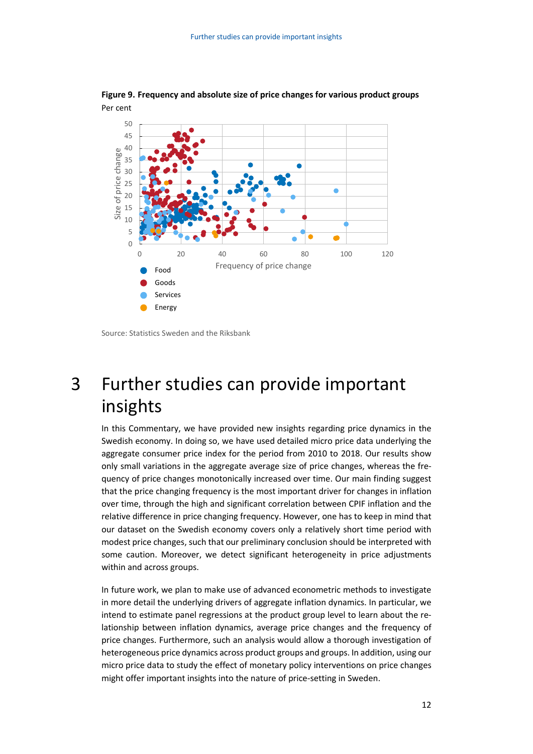

**Figure 9. Frequency and absolute size of price changes for various product groups** Per cent

Source: Statistics Sweden and the Riksbank

## <span id="page-11-0"></span>3 Further studies can provide important insights

In this Commentary, we have provided new insights regarding price dynamics in the Swedish economy. In doing so, we have used detailed micro price data underlying the aggregate consumer price index for the period from 2010 to 2018. Our results show only small variations in the aggregate average size of price changes, whereas the frequency of price changes monotonically increased over time. Our main finding suggest that the price changing frequency is the most important driver for changes in inflation over time, through the high and significant correlation between CPIF inflation and the relative difference in price changing frequency. However, one has to keep in mind that our dataset on the Swedish economy covers only a relatively short time period with modest price changes, such that our preliminary conclusion should be interpreted with some caution. Moreover, we detect significant heterogeneity in price adjustments within and across groups.

In future work, we plan to make use of advanced econometric methods to investigate in more detail the underlying drivers of aggregate inflation dynamics. In particular, we intend to estimate panel regressions at the product group level to learn about the relationship between inflation dynamics, average price changes and the frequency of price changes. Furthermore, such an analysis would allow a thorough investigation of heterogeneous price dynamics across product groups and groups. In addition, using our micro price data to study the effect of monetary policy interventions on price changes might offer important insights into the nature of price-setting in Sweden.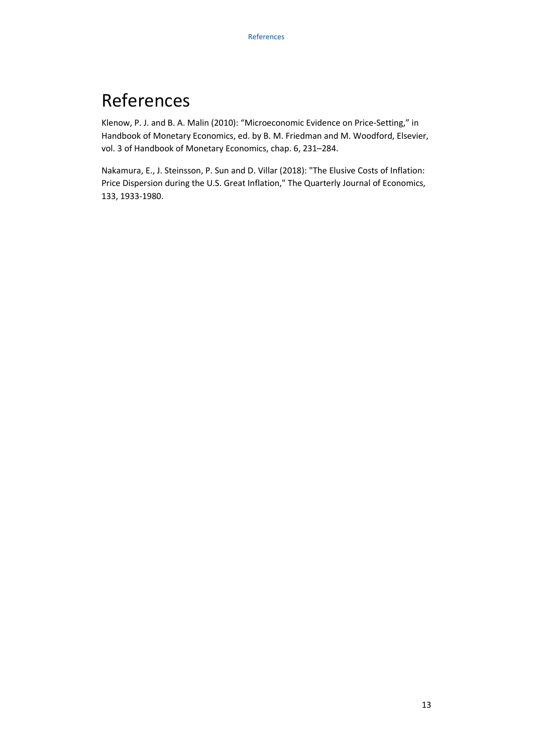# <span id="page-12-0"></span>References

Klenow, P. J. and B. A. Malin (2010): "Microeconomic Evidence on Price-Setting," in Handbook of Monetary Economics, ed. by B. M. Friedman and M. Woodford, Elsevier, vol. 3 of Handbook of Monetary Economics, chap. 6, 231–284.

Nakamura, E., J. Steinsson, P. Sun and D. Villar (2018): "The Elusive Costs of Inflation: Price Dispersion during the U.S. Great Inflation," The Quarterly Journal of Economics, 133, 1933-1980.